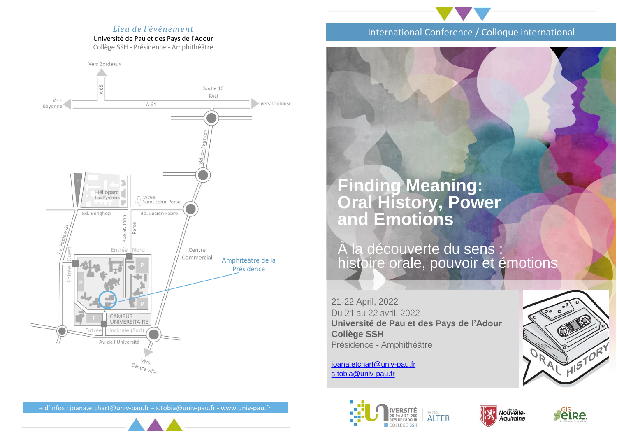### *Lieu de l'événement*

Université de Pau et des Pays de l'Adour

Collège SSH - Présidence - Amphithéâtre



## International Conference / Colloque international

# **Finding Meaning: Oral History, Power and Emotions**

À la découverte du sens : histoire orale, pouvoir et émotions

21-22 April, 2022 Du 21 au 22 avril, 2022 **Université de Pau et des Pays de l'Adour Collège SSH** Présidence - Amphithéâtre

[joana.etchart@univ-pau.fr](mailto:joana.etchart@univ-pau.fr) [s.tobia@univ-pau.fr](mailto:s.tobia@univ-pau.fr)



IVERSITÉ<br>de pau et des EA 7504 **ALTER** AYS DE L'ADOUR COLLÈGE SSH





+ d'infos : joana.etchart@univ-pau.fr – s.tobia@univ-pau.fr - www.univ-pau.fr